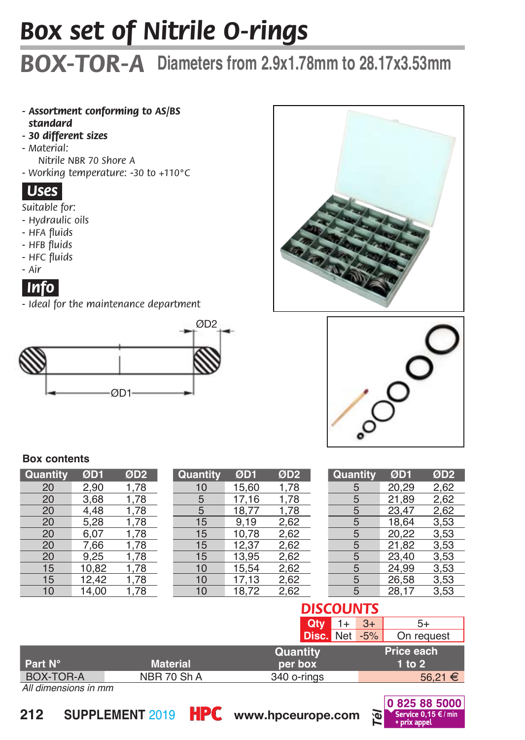# *Box set of Nitrile O-rings*

## *BOX-TOR-A* **Diameters from 2.9x1.78mm to 28.17x3.53mm**

- *- Assortment conforming to AS/BS standard*
- *30 different sizess*
- *Material: Nitrile NBR 70 Shore A*
- *Working temperature: -30 to +110°C*

## *Uses.*

*Suitable for:*

- *Hydraulic oils*
- *HFA fluids*
- *HFB fluids*
- *HFC fluids*
- *Air*



*- Ideal for the maintenance department*







#### **Box contents**

| Quantity | ØD1   | ØD <sub>2</sub> |
|----------|-------|-----------------|
| 20       | 2.90  | 1,78            |
| 20       | 3,68  | 1,78            |
| 20       | 4.48  | 1,78            |
| 20       | 5,28  | 1,78            |
| 20       | 6.07  | 1.78            |
| 20       | 7.66  | 1,78            |
| 20       | 9,25  | 1,78            |
| 15       | 10,82 | 1.78            |
| 15       | 12,42 | 1,78            |
| 10       | 14.00 | 1.78            |

| Quantity | ØD1   | ØD <sub>2</sub> |
|----------|-------|-----------------|
| 10       | 15,60 | 1,78            |
| 5        | 17,16 | 1,78            |
| 5        | 18.77 | 1,78            |
| 15       | 9,19  | 2,62            |
| 15       | 10.78 | 2,62            |
| 15       | 12,37 | 2,62            |
| 15       | 13,95 | 2,62            |
| 10       | 15,54 | 2,62            |
| 10       | 17,13 | 2,62            |
| 10       | 18,72 | 2,62            |
|          |       |                 |

| Quantity | ØD1   | ØD <sub>2</sub> |
|----------|-------|-----------------|
| 5        | 20.29 | 2.62            |
| 5        | 21,89 | 2,62            |
| 5        | 23.47 | 2.62            |
| 5        | 18.64 | 3,53            |
| 5        | 20,22 | 3.53            |
| 5        | 21,82 | 3,53            |
| 5        | 23.40 | 3,53            |
| 5        | 24,99 | 3.53            |
| 5        | 26.58 | 3,53            |
| Ŝ.       | 28,17 | 3,53            |

## *DISCOUNTS*

| Disc. Net -5%                                       |  | Qtv. | $3+$ | 5+         |
|-----------------------------------------------------|--|------|------|------------|
|                                                     |  |      |      | On request |
| Quantity                                            |  |      |      | Price each |
| Part N°<br><b>Material</b><br>$1$ to $2$<br>per box |  |      |      |            |
| BOX-TOR-A<br>NBR 70 Sh A<br>340 o-rings             |  |      |      | 56.21 €    |

*All dimensions in mm*